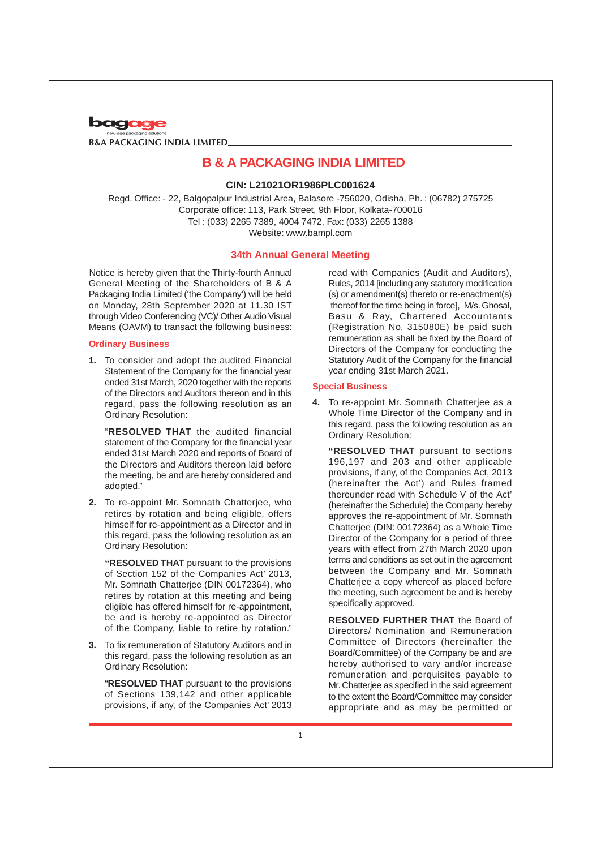

## **CIN: L21021OR1986PLC001624**

Regd. Office: - 22, Balgopalpur Industrial Area, Balasore -756020, Odisha, Ph. : (06782) 275725 Corporate office: 113, Park Street, 9th Floor, Kolkata-700016 Tel : (033) 2265 7389, 4004 7472, Fax: (033) 2265 1388 Website: www.bampl.com

## **34th Annual General Meeting**

Notice is hereby given that the Thirty-fourth Annual General Meeting of the Shareholders of B & A Packaging India Limited ('the Company') will be held on Monday, 28th September 2020 at 11.30 IST through Video Conferencing (VC)/ Other Audio Visual Means (OAVM) to transact the following business:

#### **Ordinary Business**

**1.** To consider and adopt the audited Financial Statement of the Company for the financial year ended 31st March, 2020 together with the reports of the Directors and Auditors thereon and in this regard, pass the following resolution as an Ordinary Resolution:

"**RESOLVED THAT** the audited financial statement of the Company for the financial year ended 31st March 2020 and reports of Board of the Directors and Auditors thereon laid before the meeting, be and are hereby considered and adopted."

**2.** To re-appoint Mr. Somnath Chatterjee, who retires by rotation and being eligible, offers himself for re-appointment as a Director and in this regard, pass the following resolution as an Ordinary Resolution:

**"RESOLVED THAT** pursuant to the provisions of Section 152 of the Companies Act' 2013, Mr. Somnath Chatterjee (DIN 00172364), who retires by rotation at this meeting and being eligible has offered himself for re-appointment, be and is hereby re-appointed as Director of the Company, liable to retire by rotation."

**3.** To fix remuneration of Statutory Auditors and in this regard, pass the following resolution as an Ordinary Resolution:

"**RESOLVED THAT** pursuant to the provisions of Sections 139,142 and other applicable provisions, if any, of the Companies Act' 2013

read with Companies (Audit and Auditors), Rules, 2014 [including any statutory modification (s) or amendment(s) thereto or re-enactment(s) thereof for the time being in force], M/s. Ghosal, Basu & Ray, Chartered Accountants (Registration No. 315080E) be paid such remuneration as shall be fixed by the Board of Directors of the Company for conducting the Statutory Audit of the Company for the financial year ending 31st March 2021.

#### **Special Business**

**4.** To re-appoint Mr. Somnath Chatterjee as a Whole Time Director of the Company and in this regard, pass the following resolution as an Ordinary Resolution:

**"RESOLVED THAT** pursuant to sections 196,197 and 203 and other applicable provisions, if any, of the Companies Act, 2013 (hereinafter the Act') and Rules framed thereunder read with Schedule V of the Act' (hereinafter the Schedule) the Company hereby approves the re-appointment of Mr. Somnath Chatterjee (DIN: 00172364) as a Whole Time Director of the Company for a period of three years with effect from 27th March 2020 upon terms and conditions as set out in the agreement between the Company and Mr. Somnath Chatterjee a copy whereof as placed before the meeting, such agreement be and is hereby specifically approved.

**RESOLVED FURTHER THAT** the Board of Directors/ Nomination and Remuneration Committee of Directors (hereinafter the Board/Committee) of the Company be and are hereby authorised to vary and/or increase remuneration and perquisites payable to Mr. Chatterjee as specified in the said agreement to the extent the Board/Committee may consider appropriate and as may be permitted or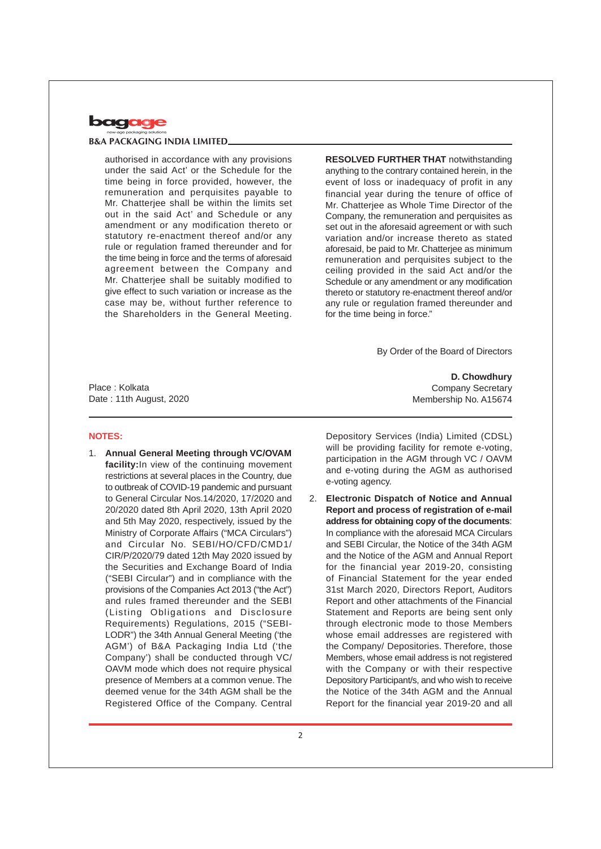

authorised in accordance with any provisions under the said Act' or the Schedule for the time being in force provided, however, the remuneration and perquisites payable to Mr. Chatterjee shall be within the limits set out in the said Act' and Schedule or any amendment or any modification thereto or statutory re-enactment thereof and/or any rule or regulation framed thereunder and for the time being in force and the terms of aforesaid agreement between the Company and Mr. Chatterjee shall be suitably modified to give effect to such variation or increase as the case may be, without further reference to the Shareholders in the General Meeting.

**RESOLVED FURTHER THAT** notwithstanding anything to the contrary contained herein, in the event of loss or inadequacy of profit in any financial year during the tenure of office of Mr. Chatterjee as Whole Time Director of the Company, the remuneration and perquisites as set out in the aforesaid agreement or with such variation and/or increase thereto as stated aforesaid, be paid to Mr. Chatterjee as minimum remuneration and perquisites subject to the ceiling provided in the said Act and/or the Schedule or any amendment or any modification thereto or statutory re-enactment thereof and/or any rule or regulation framed thereunder and for the time being in force."

By Order of the Board of Directors

Place : Kolkata Date : 11th August, 2020

#### **NOTES:**

1. **Annual General Meeting through VC/OVAM facility:**In view of the continuing movement restrictions at several places in the Country, due to outbreak of COVID-19 pandemic and pursuant to General Circular Nos.14/2020, 17/2020 and 20/2020 dated 8th April 2020, 13th April 2020 and 5th May 2020, respectively, issued by the Ministry of Corporate Affairs ("MCA Circulars") and Circular No. SEBI/HO/CFD/CMD1/ CIR/P/2020/79 dated 12th May 2020 issued by the Securities and Exchange Board of India ("SEBI Circular") and in compliance with the provisions of the Companies Act 2013 ("the Act") and rules framed thereunder and the SEBI (Listing Obligations and Disclosure Requirements) Regulations, 2015 ("SEBI-LODR") the 34th Annual General Meeting ('the AGM') of B&A Packaging India Ltd ('the Company') shall be conducted through VC/ OAVM mode which does not require physical presence of Members at a common venue. The deemed venue for the 34th AGM shall be the Registered Office of the Company. Central

**D. Chowdhury** Company Secretary Membership No. A15674

Depository Services (India) Limited (CDSL) will be providing facility for remote e-voting. participation in the AGM through VC / OAVM and e-voting during the AGM as authorised e-voting agency.

2. **Electronic Dispatch of Notice and Annual Report and process of registration of e-mail address for obtaining copy of the documents**: In compliance with the aforesaid MCA Circulars and SEBI Circular, the Notice of the 34th AGM and the Notice of the AGM and Annual Report for the financial year 2019-20, consisting of Financial Statement for the year ended 31st March 2020, Directors Report, Auditors Report and other attachments of the Financial Statement and Reports are being sent only through electronic mode to those Members whose email addresses are registered with the Company/ Depositories. Therefore, those Members, whose email address is not registered with the Company or with their respective Depository Participant/s, and who wish to receive the Notice of the 34th AGM and the Annual Report for the financial year 2019-20 and all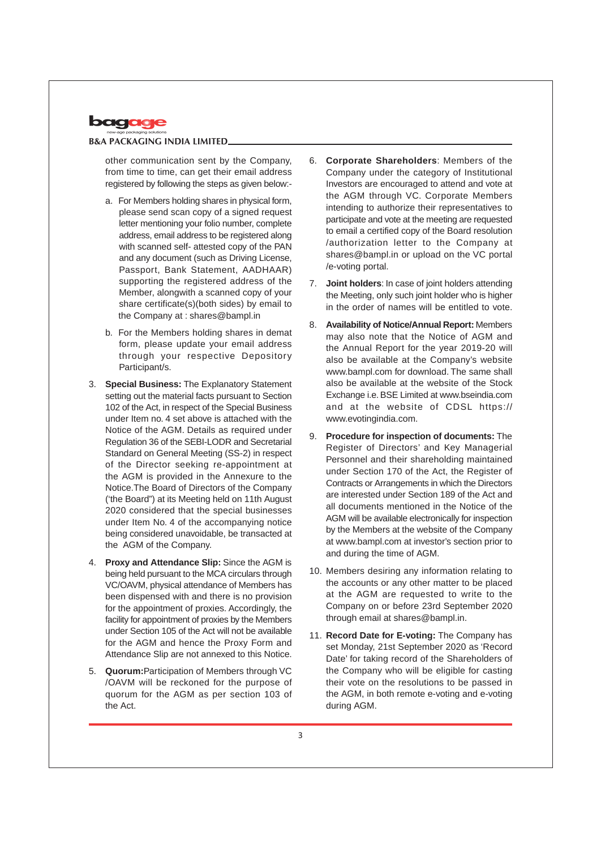

other communication sent by the Company, from time to time, can get their email address registered by following the steps as given below:-

- a. For Members holding shares in physical form, please send scan copy of a signed request letter mentioning your folio number, complete address, email address to be registered along with scanned self- attested copy of the PAN and any document (such as Driving License, Passport, Bank Statement, AADHAAR) supporting the registered address of the Member, alongwith a scanned copy of your share certificate(s)(both sides) by email to the Company at : shares@bampl.in
- b. For the Members holding shares in demat form, please update your email address through your respective Depository Participant/s.
- 3. **Special Business:** The Explanatory Statement setting out the material facts pursuant to Section 102 of the Act, in respect of the Special Business under Item no. 4 set above is attached with the Notice of the AGM. Details as required under Regulation 36 of the SEBI-LODR and Secretarial Standard on General Meeting (SS-2) in respect of the Director seeking re-appointment at the AGM is provided in the Annexure to the Notice.The Board of Directors of the Company ('the Board") at its Meeting held on 11th August 2020 considered that the special businesses under Item No. 4 of the accompanying notice being considered unavoidable, be transacted at the AGM of the Company.
- 4. **Proxy and Attendance Slip:** Since the AGM is being held pursuant to the MCA circulars through VC/OAVM, physical attendance of Members has been dispensed with and there is no provision for the appointment of proxies. Accordingly, the facility for appointment of proxies by the Members under Section 105 of the Act will not be available for the AGM and hence the Proxy Form and Attendance Slip are not annexed to this Notice.
- 5. **Quorum:**Participation of Members through VC /OAVM will be reckoned for the purpose of quorum for the AGM as per section 103 of the Act.
- 6. **Corporate Shareholders**: Members of the Company under the category of Institutional Investors are encouraged to attend and vote at the AGM through VC. Corporate Members intending to authorize their representatives to participate and vote at the meeting are requested to email a certified copy of the Board resolution /authorization letter to the Company at shares@bampl.in or upload on the VC portal /e-voting portal.
- 7. **Joint holders**: In case of joint holders attending the Meeting, only such joint holder who is higher in the order of names will be entitled to vote.
- 8. **Availability of Notice/Annual Report:** Members may also note that the Notice of AGM and the Annual Report for the year 2019-20 will also be available at the Company's website www.bampl.com for download. The same shall also be available at the website of the Stock Exchange i.e. BSE Limited at www.bseindia.com and at the website of CDSL https:// www.evotingindia.com.
- 9. **Procedure for inspection of documents:** The Register of Directors' and Key Managerial Personnel and their shareholding maintained under Section 170 of the Act, the Register of Contracts or Arrangements in which the Directors are interested under Section 189 of the Act and all documents mentioned in the Notice of the AGM will be available electronically for inspection by the Members at the website of the Company at www.bampl.com at investor's section prior to and during the time of AGM.
- 10. Members desiring any information relating to the accounts or any other matter to be placed at the AGM are requested to write to the Company on or before 23rd September 2020 through email at shares@bampl.in.
- 11. **Record Date for E-voting:** The Company has set Monday, 21st September 2020 as 'Record Date' for taking record of the Shareholders of the Company who will be eligible for casting their vote on the resolutions to be passed in the AGM, in both remote e-voting and e-voting during AGM.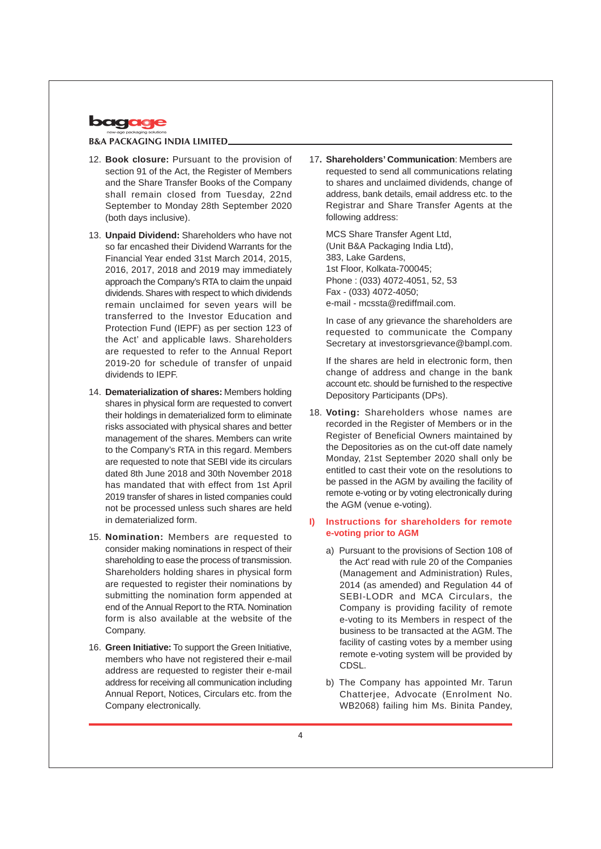

- 12. **Book closure:** Pursuant to the provision of section 91 of the Act, the Register of Members and the Share Transfer Books of the Company shall remain closed from Tuesday, 22nd September to Monday 28th September 2020 (both days inclusive).
- 13. **Unpaid Dividend:** Shareholders who have not so far encashed their Dividend Warrants for the Financial Year ended 31st March 2014, 2015, 2016, 2017, 2018 and 2019 may immediately approach the Company's RTA to claim the unpaid dividends. Shares with respect to which dividends remain unclaimed for seven years will be transferred to the Investor Education and Protection Fund (IEPF) as per section 123 of the Act' and applicable laws. Shareholders are requested to refer to the Annual Report 2019-20 for schedule of transfer of unpaid dividends to IEPF.
- 14. **Dematerialization of shares:** Members holding shares in physical form are requested to convert their holdings in dematerialized form to eliminate risks associated with physical shares and better management of the shares. Members can write to the Company's RTA in this regard. Members are requested to note that SEBI vide its circulars dated 8th June 2018 and 30th November 2018 has mandated that with effect from 1st April 2019 transfer of shares in listed companies could not be processed unless such shares are held in dematerialized form.
- 15. **Nomination:** Members are requested to consider making nominations in respect of their shareholding to ease the process of transmission. Shareholders holding shares in physical form are requested to register their nominations by submitting the nomination form appended at end of the Annual Report to the RTA. Nomination form is also available at the website of the Company.
- 16. **Green Initiative:** To support the Green Initiative, members who have not registered their e-mail address are requested to register their e-mail address for receiving all communication including Annual Report, Notices, Circulars etc. from the Company electronically.

17**. Shareholders' Communication**: Members are requested to send all communications relating to shares and unclaimed dividends, change of address, bank details, email address etc. to the Registrar and Share Transfer Agents at the following address:

MCS Share Transfer Agent Ltd, (Unit B&A Packaging India Ltd), 383, Lake Gardens, 1st Floor, Kolkata-700045; Phone : (033) 4072-4051, 52, 53 Fax - (033) 4072-4050; e-mail - mcssta@rediffmail.com.

In case of any grievance the shareholders are requested to communicate the Company Secretary at investorsgrievance@bampl.com.

If the shares are held in electronic form, then change of address and change in the bank account etc. should be furnished to the respective Depository Participants (DPs).

18. **Voting:** Shareholders whose names are recorded in the Register of Members or in the Register of Beneficial Owners maintained by the Depositories as on the cut-off date namely Monday, 21st September 2020 shall only be entitled to cast their vote on the resolutions to be passed in the AGM by availing the facility of remote e-voting or by voting electronically during the AGM (venue e-voting).

# **I) Instructions for shareholders for remote e-voting prior to AGM**

- a) Pursuant to the provisions of Section 108 of the Act' read with rule 20 of the Companies (Management and Administration) Rules, 2014 (as amended) and Regulation 44 of SEBI-LODR and MCA Circulars, the Company is providing facility of remote e-voting to its Members in respect of the business to be transacted at the AGM. The facility of casting votes by a member using remote e-voting system will be provided by CDSL.
- b) The Company has appointed Mr. Tarun Chatterjee, Advocate (Enrolment No. WB2068) failing him Ms. Binita Pandey,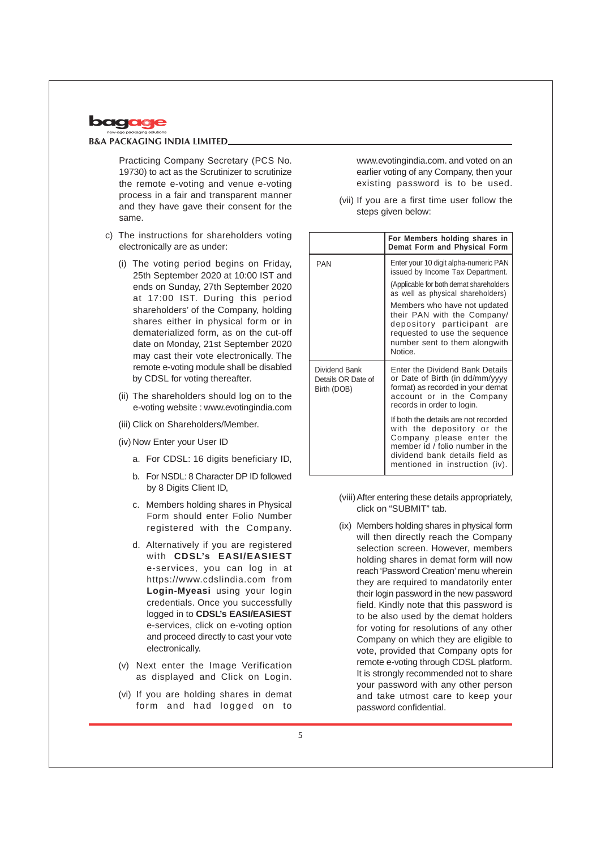

Practicing Company Secretary (PCS No. 19730) to act as the Scrutinizer to scrutinize the remote e-voting and venue e-voting process in a fair and transparent manner and they have gave their consent for the same.

- c) The instructions for shareholders voting electronically are as under:
	- (i) The voting period begins on Friday, 25th September 2020 at 10:00 IST and ends on Sunday, 27th September 2020 at 17:00 IST. During this period shareholders' of the Company, holding shares either in physical form or in dematerialized form, as on the cut-off date on Monday, 21st September 2020 may cast their vote electronically. The remote e-voting module shall be disabled by CDSL for voting thereafter.
	- (ii) The shareholders should log on to the e-voting website : www.evotingindia.com
	- (iii) Click on Shareholders/Member.
	- (iv) Now Enter your User ID
		- a. For CDSL: 16 digits beneficiary ID,
		- b. For NSDL: 8 Character DP ID followed by 8 Digits Client ID,
		- c. Members holding shares in Physical Form should enter Folio Number registered with the Company.
		- d. Alternatively if you are registered with **CDSL's EASI/EASIEST** e-services, you can log in at https://www.cdslindia.com from **Login-Myeasi** using your login credentials. Once you successfully logged in to **CDSL's EASI/EASIEST** e-services, click on e-voting option and proceed directly to cast your vote electronically.
	- (v) Next enter the Image Verification as displayed and Click on Login.
	- (vi) If you are holding shares in demat form and had logged on to

www.evotingindia.com. and voted on an earlier voting of any Company, then your existing password is to be used.

(vii) If you are a first time user follow the steps given below:

|                                                    | For Members holding shares in<br>Demat Form and Physical Form                                                                                                                                         |  |  |
|----------------------------------------------------|-------------------------------------------------------------------------------------------------------------------------------------------------------------------------------------------------------|--|--|
| <b>PAN</b>                                         | Enter your 10 digit alpha-numeric PAN<br>issued by Income Tax Department.<br>(Applicable for both demat shareholders)<br>as well as physical shareholders)                                            |  |  |
|                                                    | Members who have not updated<br>their PAN with the Company/<br>depository participant are<br>requested to use the sequence<br>number sent to them alongwith<br>Notice.                                |  |  |
| Dividend Bank<br>Details OR Date of<br>Birth (DOB) | <b>Enter the Dividend Bank Details</b><br>or Date of Birth (in dd/mm/yyyy<br>format) as recorded in your demat<br>account or in the Company<br>records in order to login.                             |  |  |
|                                                    | If both the details are not recorded<br>with the depository or the<br>Company please enter the<br>member id / folio number in the<br>dividend bank details field as<br>mentioned in instruction (iv). |  |  |

- (viii)After entering these details appropriately, click on "SUBMIT" tab.
- (ix) Members holding shares in physical form will then directly reach the Company selection screen. However, members holding shares in demat form will now reach 'Password Creation' menu wherein they are required to mandatorily enter their login password in the new password field. Kindly note that this password is to be also used by the demat holders for voting for resolutions of any other Company on which they are eligible to vote, provided that Company opts for remote e-voting through CDSL platform. It is strongly recommended not to share your password with any other person and take utmost care to keep your password confidential.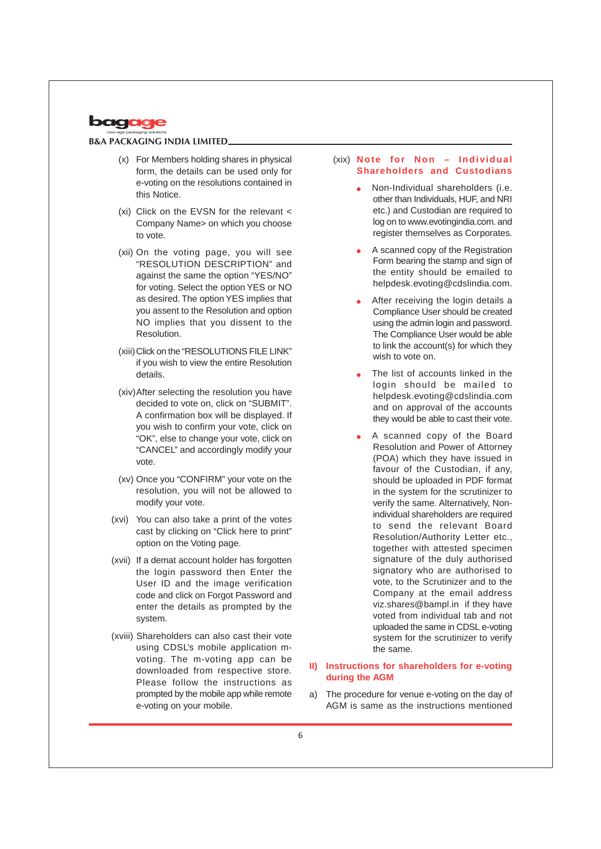

- (x) For Members holding shares in physical form, the details can be used only for e-voting on the resolutions contained in this Notice.
- (xi) Click on the EVSN for the relevant < Company Name> on which you choose to vote.
- (xii) On the voting page, you will see "RESOLUTION DESCRIPTION" and against the same the option "YES/NO" for voting. Select the option YES or NO as desired. The option YES implies that you assent to the Resolution and option NO implies that you dissent to the Resolution.
- (xiii)Click on the "RESOLUTIONS FILE LINK" if you wish to view the entire Resolution details.
- (xiv)After selecting the resolution you have decided to vote on, click on "SUBMIT". A confirmation box will be displayed. If you wish to confirm your vote, click on "OK", else to change your vote, click on "CANCEL" and accordingly modify your vote.
- (xv) Once you "CONFIRM" your vote on the resolution, you will not be allowed to modify your vote.
- (xvi) You can also take a print of the votes cast by clicking on "Click here to print" option on the Voting page.
- (xvii) If a demat account holder has forgotten the login password then Enter the User ID and the image verification code and click on Forgot Password and enter the details as prompted by the system.
- (xviii) Shareholders can also cast their vote using CDSL's mobile application mvoting. The m-voting app can be downloaded from respective store. Please follow the instructions as prompted by the mobile app while remote e-voting on your mobile.

## (xix) **Note for Non – Individual Shareholders and Custodians**

- Non-Individual shareholders (i.e. other than Individuals, HUF, and NRI etc.) and Custodian are required to log on to www.evotingindia.com. and register themselves as Corporates.
- A scanned copy of the Registration Form bearing the stamp and sign of the entity should be emailed to helpdesk.evoting@cdslindia.com.
- After receiving the login details a Compliance User should be created using the admin login and password. The Compliance User would be able to link the account(s) for which they wish to vote on.
- The list of accounts linked in the login should be mailed to helpdesk.evoting@cdslindia.com and on approval of the accounts they would be able to cast their vote.
- A scanned copy of the Board Resolution and Power of Attorney (POA) which they have issued in favour of the Custodian, if any, should be uploaded in PDF format in the system for the scrutinizer to verify the same. Alternatively, Nonindividual shareholders are required to send the relevant Board Resolution/Authority Letter etc., together with attested specimen signature of the duly authorised signatory who are authorised to vote, to the Scrutinizer and to the Company at the email address viz.shares@bampl.in if they have voted from individual tab and not uploaded the same in CDSL e-voting system for the scrutinizer to verify the same.

## **II) Instructions for shareholders for e-voting during the AGM**

a) The procedure for venue e-voting on the day of AGM is same as the instructions mentioned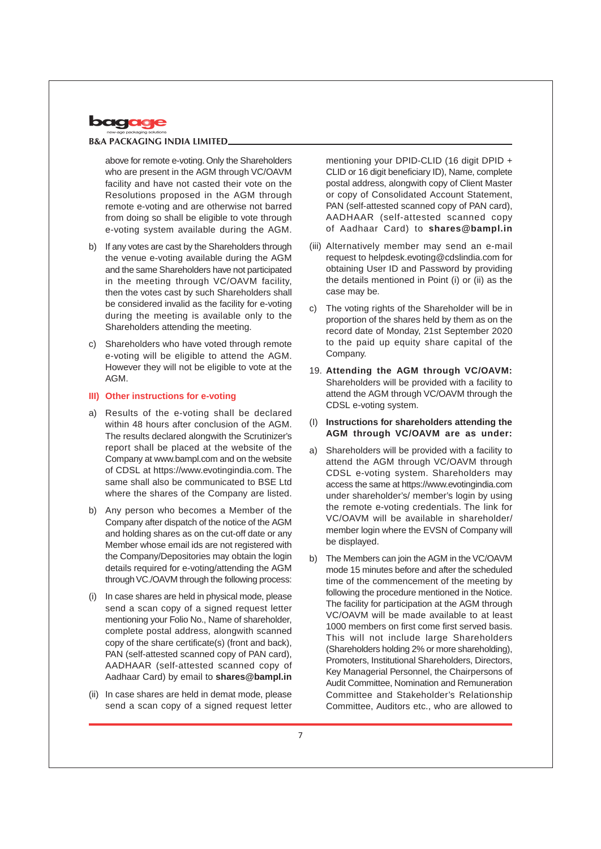

above for remote e-voting. Only the Shareholders who are present in the AGM through VC/OAVM facility and have not casted their vote on the Resolutions proposed in the AGM through remote e-voting and are otherwise not barred from doing so shall be eligible to vote through e-voting system available during the AGM.

- b) If any votes are cast by the Shareholders through the venue e-voting available during the AGM and the same Shareholders have not participated in the meeting through VC/OAVM facility, then the votes cast by such Shareholders shall be considered invalid as the facility for e-voting during the meeting is available only to the Shareholders attending the meeting.
- c) Shareholders who have voted through remote e-voting will be eligible to attend the AGM. However they will not be eligible to vote at the AGM.

#### **III) Other instructions for e-voting**

- a) Results of the e-voting shall be declared within 48 hours after conclusion of the AGM. The results declared alongwith the Scrutinizer's report shall be placed at the website of the Company at www.bampl.com and on the website of CDSL at https://www.evotingindia.com. The same shall also be communicated to BSE Ltd where the shares of the Company are listed.
- b) Any person who becomes a Member of the Company after dispatch of the notice of the AGM and holding shares as on the cut-off date or any Member whose email ids are not registered with the Company/Depositories may obtain the login details required for e-voting/attending the AGM through VC./OAVM through the following process:
- (i) In case shares are held in physical mode, please send a scan copy of a signed request letter mentioning your Folio No., Name of shareholder, complete postal address, alongwith scanned copy of the share certificate(s) (front and back), PAN (self-attested scanned copy of PAN card), AADHAAR (self-attested scanned copy of Aadhaar Card) by email to **shares@bampl.in**
- (ii) In case shares are held in demat mode, please send a scan copy of a signed request letter

mentioning your DPID-CLID (16 digit DPID + CLID or 16 digit beneficiary ID), Name, complete postal address, alongwith copy of Client Master or copy of Consolidated Account Statement, PAN (self-attested scanned copy of PAN card), AADHAAR (self-attested scanned copy of Aadhaar Card) to **shares@bampl.in**

- (iii) Alternatively member may send an e-mail request to helpdesk.evoting@cdslindia.com for obtaining User ID and Password by providing the details mentioned in Point (i) or (ii) as the case may be.
- c) The voting rights of the Shareholder will be in proportion of the shares held by them as on the record date of Monday, 21st September 2020 to the paid up equity share capital of the Company.
- 19. **Attending the AGM through VC/OAVM:** Shareholders will be provided with a facility to attend the AGM through VC/OAVM through the CDSL e-voting system.
- (I) **Instructions for shareholders attending the AGM through VC/OAVM are as under:**
- a) Shareholders will be provided with a facility to attend the AGM through VC/OAVM through CDSL e-voting system. Shareholders may access the same at https://www.evotingindia.com under shareholder's/ member's login by using the remote e-voting credentials. The link for VC/OAVM will be available in shareholder/ member login where the EVSN of Company will be displayed.
- b) The Members can join the AGM in the VC/OAVM mode 15 minutes before and after the scheduled time of the commencement of the meeting by following the procedure mentioned in the Notice. The facility for participation at the AGM through VC/OAVM will be made available to at least 1000 members on first come first served basis. This will not include large Shareholders (Shareholders holding 2% or more shareholding), Promoters, Institutional Shareholders, Directors, Key Managerial Personnel, the Chairpersons of Audit Committee, Nomination and Remuneration Committee and Stakeholder's Relationship Committee, Auditors etc., who are allowed to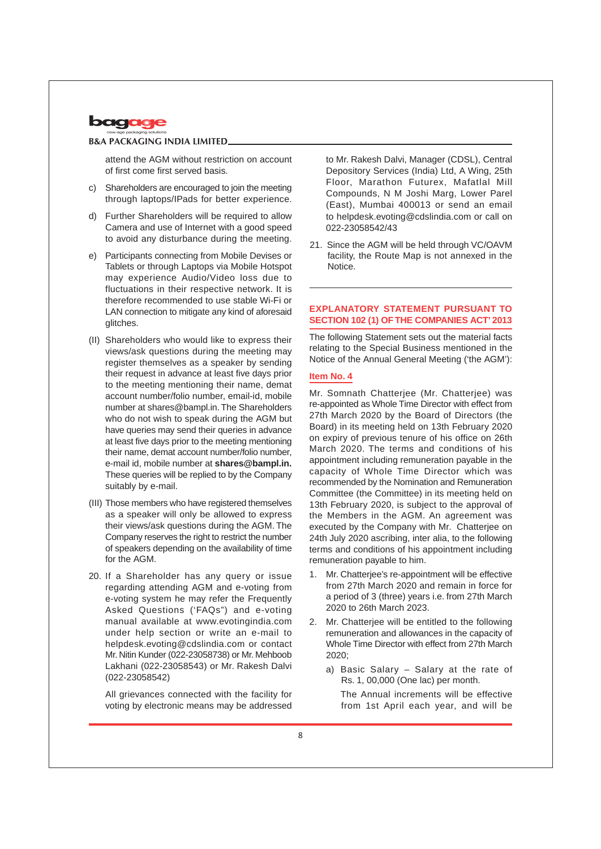

attend the AGM without restriction on account of first come first served basis.

- c) Shareholders are encouraged to join the meeting through laptops/IPads for better experience.
- d) Further Shareholders will be required to allow Camera and use of Internet with a good speed to avoid any disturbance during the meeting.
- e) Participants connecting from Mobile Devises or Tablets or through Laptops via Mobile Hotspot may experience Audio/Video loss due to fluctuations in their respective network. It is therefore recommended to use stable Wi-Fi or LAN connection to mitigate any kind of aforesaid glitches.
- (II) Shareholders who would like to express their views/ask questions during the meeting may register themselves as a speaker by sending their request in advance at least five days prior to the meeting mentioning their name, demat account number/folio number, email-id, mobile number at shares@bampl.in. The Shareholders who do not wish to speak during the AGM but have queries may send their queries in advance at least five days prior to the meeting mentioning their name, demat account number/folio number, e-mail id, mobile number at **shares@bampl.in.** These queries will be replied to by the Company suitably by e-mail.
- (III) Those members who have registered themselves as a speaker will only be allowed to express their views/ask questions during the AGM. The Company reserves the right to restrict the number of speakers depending on the availability of time for the AGM.
- 20. If a Shareholder has any query or issue regarding attending AGM and e-voting from e-voting system he may refer the Frequently Asked Questions ('FAQs") and e-voting manual available at www.evotingindia.com under help section or write an e-mail to helpdesk.evoting@cdslindia.com or contact Mr. Nitin Kunder (022-23058738) or Mr. Mehboob Lakhani (022-23058543) or Mr. Rakesh Dalvi (022-23058542)

All grievances connected with the facility for voting by electronic means may be addressed to Mr. Rakesh Dalvi, Manager (CDSL), Central Depository Services (India) Ltd, A Wing, 25th Floor, Marathon Futurex, Mafatlal Mill Compounds, N M Joshi Marg, Lower Parel (East), Mumbai 400013 or send an email to helpdesk.evoting@cdslindia.com or call on 022-23058542/43

21. Since the AGM will be held through VC/OAVM facility, the Route Map is not annexed in the Notice.

# **EXPLANATORY STATEMENT PURSUANT TO SECTION 102 (1) OF THE COMPANIES ACT' 2013**

The following Statement sets out the material facts relating to the Special Business mentioned in the Notice of the Annual General Meeting ('the AGM'):

## **Item No. 4**

Mr. Somnath Chatterjee (Mr. Chatterjee) was re-appointed as Whole Time Director with effect from 27th March 2020 by the Board of Directors (the Board) in its meeting held on 13th February 2020 on expiry of previous tenure of his office on 26th March 2020. The terms and conditions of his appointment including remuneration payable in the capacity of Whole Time Director which was recommended by the Nomination and Remuneration Committee (the Committee) in its meeting held on 13th February 2020, is subject to the approval of the Members in the AGM. An agreement was executed by the Company with Mr. Chatterjee on 24th July 2020 ascribing, inter alia, to the following terms and conditions of his appointment including remuneration payable to him.

- 1. Mr. Chatterjee's re-appointment will be effective from 27th March 2020 and remain in force for a period of 3 (three) years i.e. from 27th March 2020 to 26th March 2023.
- 2. Mr. Chatterjee will be entitled to the following remuneration and allowances in the capacity of Whole Time Director with effect from 27th March 2020;
	- a) Basic Salary Salary at the rate of Rs. 1, 00,000 (One lac) per month.

The Annual increments will be effective from 1st April each year, and will be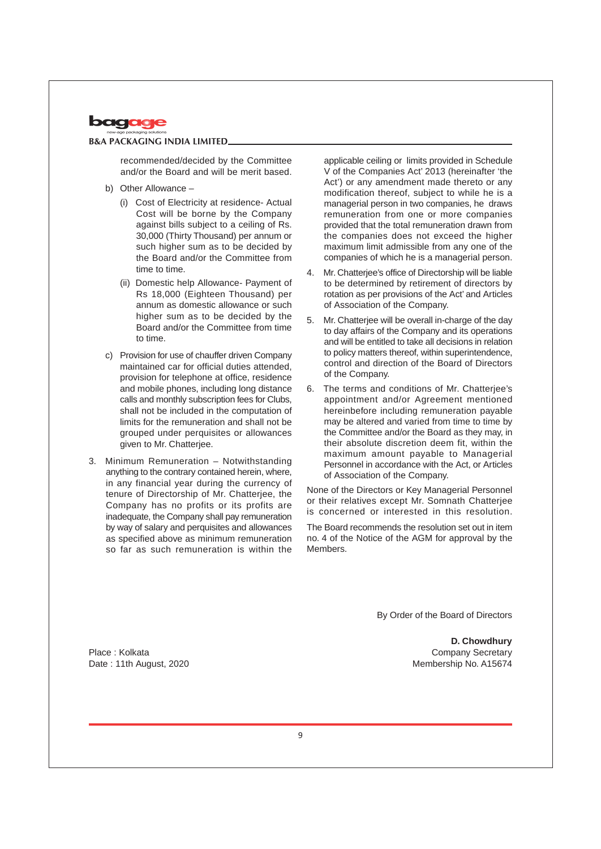

recommended/decided by the Committee and/or the Board and will be merit based.

- b) Other Allowance
	- (i) Cost of Electricity at residence- Actual Cost will be borne by the Company against bills subject to a ceiling of Rs. 30,000 (Thirty Thousand) per annum or such higher sum as to be decided by the Board and/or the Committee from time to time.
	- (ii) Domestic help Allowance- Payment of Rs 18,000 (Eighteen Thousand) per annum as domestic allowance or such higher sum as to be decided by the Board and/or the Committee from time to time.
- c) Provision for use of chauffer driven Company maintained car for official duties attended, provision for telephone at office, residence and mobile phones, including long distance calls and monthly subscription fees for Clubs, shall not be included in the computation of limits for the remuneration and shall not be grouped under perquisites or allowances given to Mr. Chatterjee.
- 3. Minimum Remuneration Notwithstanding anything to the contrary contained herein, where, in any financial year during the currency of tenure of Directorship of Mr. Chatterjee, the Company has no profits or its profits are inadequate, the Company shall pay remuneration by way of salary and perquisites and allowances as specified above as minimum remuneration so far as such remuneration is within the

applicable ceiling or limits provided in Schedule V of the Companies Act' 2013 (hereinafter 'the Act') or any amendment made thereto or any modification thereof, subject to while he is a managerial person in two companies, he draws remuneration from one or more companies provided that the total remuneration drawn from the companies does not exceed the higher maximum limit admissible from any one of the companies of which he is a managerial person.

- 4. Mr. Chatterjee's office of Directorship will be liable to be determined by retirement of directors by rotation as per provisions of the Act' and Articles of Association of the Company.
- 5. Mr. Chatterjee will be overall in-charge of the day to day affairs of the Company and its operations and will be entitled to take all decisions in relation to policy matters thereof, within superintendence, control and direction of the Board of Directors of the Company.
- 6. The terms and conditions of Mr. Chatterjee's appointment and/or Agreement mentioned hereinbefore including remuneration payable may be altered and varied from time to time by the Committee and/or the Board as they may, in their absolute discretion deem fit, within the maximum amount payable to Managerial Personnel in accordance with the Act, or Articles of Association of the Company.

None of the Directors or Key Managerial Personnel or their relatives except Mr. Somnath Chatterjee is concerned or interested in this resolution.

The Board recommends the resolution set out in item no. 4 of the Notice of the AGM for approval by the **Members** 

By Order of the Board of Directors

**D. Chowdhury** Company Secretary Membership No. A15674

Place : Kolkata Date : 11th August, 2020